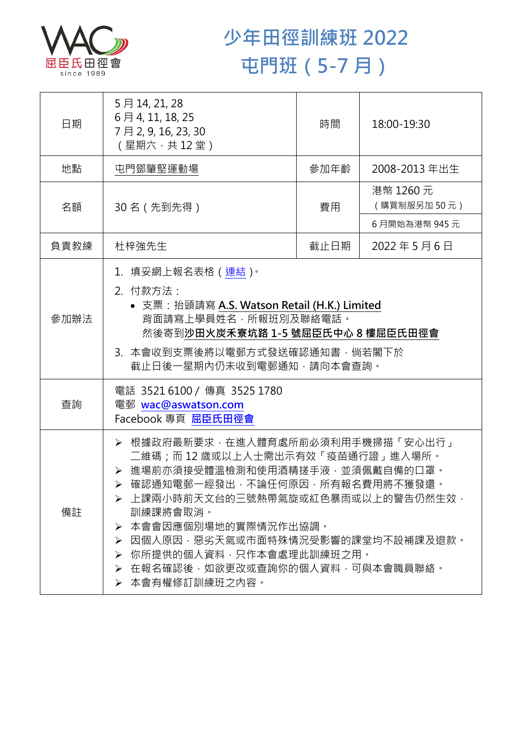

## **少年田徑訓練班 2022 屯門班(5-7 月)**

| 日期   | 5月14, 21, 28<br>6月4, 11, 18, 25<br>7月2,9,16,23,30<br>(星期六,共12堂)                                                                                                                                                                                                                                                                                              | 時間   | 18:00-19:30              |  |
|------|--------------------------------------------------------------------------------------------------------------------------------------------------------------------------------------------------------------------------------------------------------------------------------------------------------------------------------------------------------------|------|--------------------------|--|
| 地點   | 屯門鄧肇堅運動場                                                                                                                                                                                                                                                                                                                                                     | 參加年齡 | 2008-2013 年出生            |  |
| 名額   | 30 名 (先到先得)                                                                                                                                                                                                                                                                                                                                                  | 費用   | 港幣 1260 元<br>(購買制服另加50元) |  |
|      |                                                                                                                                                                                                                                                                                                                                                              |      | 6月開始為港幣 945元             |  |
| 負責教練 | 杜梓強先生                                                                                                                                                                                                                                                                                                                                                        | 截止日期 | 2022年5月6日                |  |
| 參加辦法 | 1.填妥網上報名表格(連結) <sup>。</sup><br>2. 付款方法:<br>• 支票: 抬頭請寫 A.S. Watson Retail (H.K.) Limited<br>背面請寫上學員姓名‧所報班別及聯絡電話‧<br>然後寄到沙田火炭禾寮坑路 1-5 號屈臣氏中心 8 樓屈臣氏田徑會<br>3. 本會收到支票後將以電郵方式發送確認通知書, 倘若閣下於<br>截止日後一星期內仍未收到電郵通知,請向本會查詢。                                                                                                                                           |      |                          |  |
| 查詢   | 電話 3521 6100 / 傳真 3525 1780<br>電郵 wac@aswatson.com<br>Facebook 專頁 屈臣氏田徑會                                                                                                                                                                                                                                                                                     |      |                          |  |
| 備註   | · 根據政府最新要求·在進入體育處所前必須利用手機掃描「安心出行」<br>二維碼﹔而 12 歲或以上人士需出示有效「疫苗通行證」進入場所。<br>> 進場前亦須接受體溫檢測和使用酒精搓手液·並須佩戴自備的口罩。<br>▶ 確認通知電郵一經發出,不論任何原因,所有報名費用將不獲發還。<br>▶ 上課兩小時前天文台的三號熱帶氣旋或紅色暴雨或以上的警告仍然生效 ·<br>訓練課將會取消。<br>本會會因應個別場地的實際情況作出協調。<br>⋗<br>因個人原因,惡劣天氣或市面特殊情況受影響的課堂均不設補課及退款。<br>≻<br>你所提供的個人資料,只作本會處理此訓練班之用。<br>➤<br>> 在報名確認後,如欲更改或杳詢你的個人資料,可與本會職員聯絡。<br>▶ 本會有權修訂訓練班之內容。 |      |                          |  |